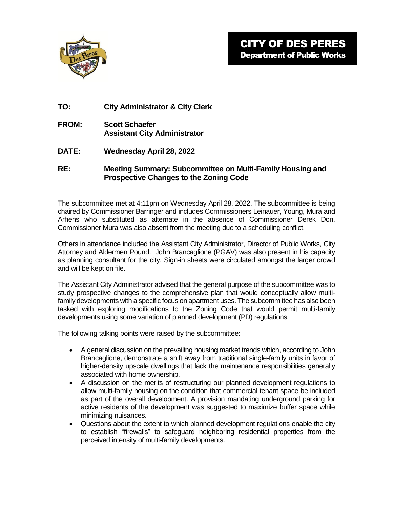

| TO:<br><b>City Administrator &amp; City Clerk</b> |  |
|---------------------------------------------------|--|
|---------------------------------------------------|--|

- **FROM: Scott Schaefer Assistant City Administrator**
- **DATE: Wednesday April 28, 2022**

## **RE: Meeting Summary: Subcommittee on Multi-Family Housing and Prospective Changes to the Zoning Code**

The subcommittee met at 4:11pm on Wednesday April 28, 2022. The subcommittee is being chaired by Commissioner Barringer and includes Commissioners Leinauer, Young, Mura and Arhens who substituted as alternate in the absence of Commissioner Derek Don. Commissioner Mura was also absent from the meeting due to a scheduling conflict.

Others in attendance included the Assistant City Administrator, Director of Public Works, City Attorney and Aldermen Pound. John Brancaglione (PGAV) was also present in his capacity as planning consultant for the city. Sign-in sheets were circulated amongst the larger crowd and will be kept on file.

The Assistant City Administrator advised that the general purpose of the subcommittee was to study prospective changes to the comprehensive plan that would conceptually allow multifamily developments with a specific focus on apartment uses. The subcommittee has also been tasked with exploring modifications to the Zoning Code that would permit multi-family developments using some variation of planned development (PD) regulations.

The following talking points were raised by the subcommittee:

- A general discussion on the prevailing housing market trends which, according to John Brancaglione, demonstrate a shift away from traditional single-family units in favor of higher-density upscale dwellings that lack the maintenance responsibilities generally associated with home ownership.
- A discussion on the merits of restructuring our planned development regulations to allow multi-family housing on the condition that commercial tenant space be included as part of the overall development. A provision mandating underground parking for active residents of the development was suggested to maximize buffer space while minimizing nuisances.
- Questions about the extent to which planned development regulations enable the city to establish "firewalls" to safeguard neighboring residential properties from the perceived intensity of multi-family developments.